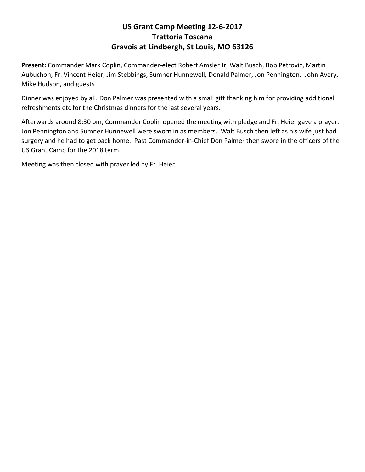## **US Grant Camp Meeting 12-6-2017 Trattoria Toscana Gravois at Lindbergh, St Louis, MO 63126**

**Present:** Commander Mark Coplin, Commander-elect Robert Amsler Jr, Walt Busch, Bob Petrovic, Martin Aubuchon, Fr. Vincent Heier, Jim Stebbings, Sumner Hunnewell, Donald Palmer, Jon Pennington, John Avery, Mike Hudson, and guests

Dinner was enjoyed by all. Don Palmer was presented with a small gift thanking him for providing additional refreshments etc for the Christmas dinners for the last several years.

Afterwards around 8:30 pm, Commander Coplin opened the meeting with pledge and Fr. Heier gave a prayer. Jon Pennington and Sumner Hunnewell were sworn in as members. Walt Busch then left as his wife just had surgery and he had to get back home. Past Commander-in-Chief Don Palmer then swore in the officers of the US Grant Camp for the 2018 term.

Meeting was then closed with prayer led by Fr. Heier.